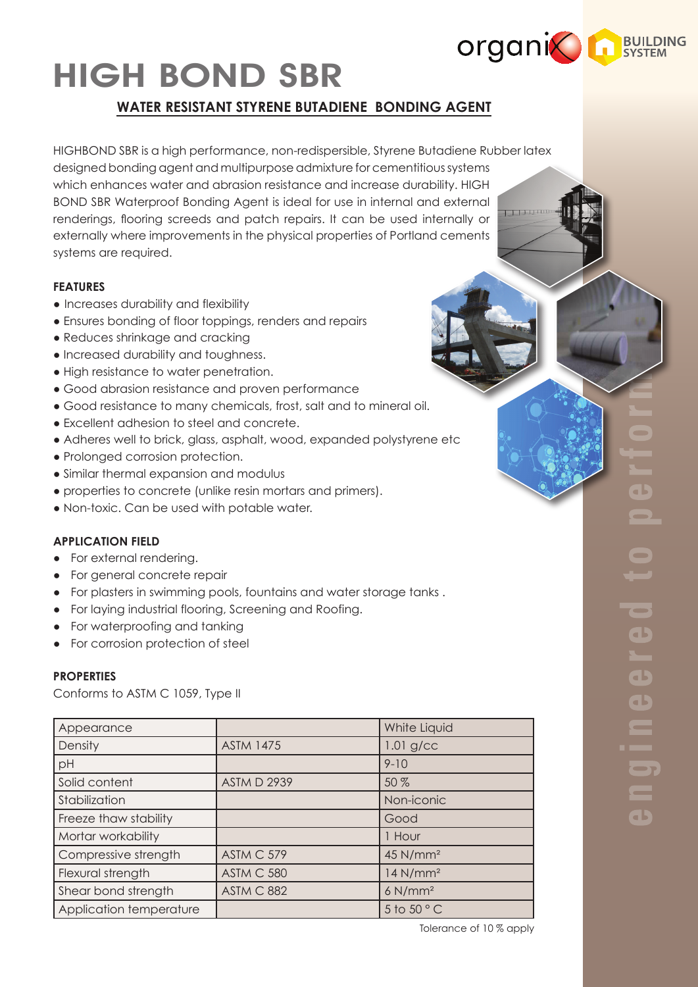

a b

 $\overline{\phantom{a}}$ 

 $\overline{\phantom{a}}$ 

 $\blacksquare$ 

 $\blacksquare$ 

 $\blacksquare$ 

 $\overline{\phantom{a}}$ 

a b

# HIGH BOND SBR

## **WATER RESISTANT STYRENE BUTADIENE BONDING AGENT**

HIGHBOND SBR is a high performance, non-redispersible, Styrene Butadiene Rubber latex designed bonding agent and multipurpose admixture for cementitious systems which enhances water and abrasion resistance and increase durability. HIGH BOND SBR Waterproof Bonding Agent is ideal for use in internal and external renderings, flooring screeds and patch repairs. It can be used internally or externally where improvements in the physical properties of Portland cements systems are required.

#### **FEATURES**

- Increases durability and flexibility
- Ensures bonding of floor toppings, renders and repairs
- Reduces shrinkage and cracking
- Increased durability and toughness.
- High resistance to water penetration.
- Good abrasion resistance and proven performance
- Good resistance to many chemicals, frost, salt and to mineral oil.
- Excellent adhesion to steel and concrete.
- Adheres well to brick, glass, asphalt, wood, expanded polystyrene etc
- Prolonged corrosion protection.
- Similar thermal expansion and modulus
- properties to concrete (unlike resin mortars and primers).
- Non-toxic. Can be used with potable water.

### **APPLICATION FIELD**

- For external rendering.
- For general concrete repair
- For plasters in swimming pools, fountains and water storage tanks .
- For laying industrial flooring, Screening and Roofing.
- For waterproofing and tanking
- For corrosion protection of steel

#### **PROPERTIES**

Conforms to ASTM C 1059, Type II

| Appearance              |                    | White Liquid           |
|-------------------------|--------------------|------------------------|
| Density                 | <b>ASTM 1475</b>   | $1.01$ g/cc            |
| pH                      |                    | $9 - 10$               |
| Solid content           | <b>ASTM D 2939</b> | 50 %                   |
| Stabilization           |                    | Non-iconic             |
| Freeze thaw stability   |                    | Good                   |
| Mortar workability      |                    | 1 Hour                 |
| Compressive strength    | ASTM C 579         | 45 N/mm <sup>2</sup>   |
| Flexural strength       | ASTM C 580         | $14$ N/mm <sup>2</sup> |
| Shear bond strength     | <b>ASTM C 882</b>  | $6$ N/mm <sup>2</sup>  |
| Application temperature |                    | 5 to 50 $\degree$ C    |